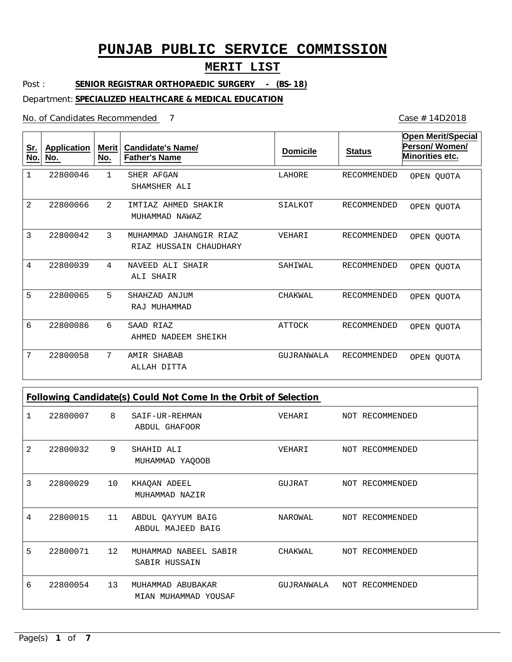### **MERIT LIST**

Post : **SENIOR REGISTRAR ORTHOPAEDIC SURGERY - (BS-18)**

Department: **SPECIALIZED HEALTHCARE & MEDICAL EDUCATION**

No. of Candidates Recommended

1

**Sr. No.**

2

3

4

5

6

7

| <b>Application</b><br>No. | Merit<br>No.   | <b>Candidate's Name/</b><br><b>Father's Name</b>    | <b>Domicile</b> | <b>Status</b> | <b>Open Merit/Special</b><br>Person/Women/<br>Minorities etc. |
|---------------------------|----------------|-----------------------------------------------------|-----------------|---------------|---------------------------------------------------------------|
| 22800046                  | $\mathbf{1}$   | SHER AFGAN<br>SHAMSHER ALI                          | LAHORE          | RECOMMENDED   | OPEN OUOTA                                                    |
| 22800066                  | $\mathfrak{D}$ | IMTIAZ AHMED<br>SHAKIR<br>MUHAMMAD NAWAZ            | SIALKOT         | RECOMMENDED   | OPEN QUOTA                                                    |
| 22800042                  | $\mathcal{L}$  | MUHAMMAD<br>JAHANGIR RIAZ<br>RIAZ HUSSAIN CHAUDHARY | VEHARI          | RECOMMENDED   | OPEN QUOTA                                                    |
| 22800039                  | 4              | ALI SHAIR<br>NAVEED<br>ALI SHAIR                    | SAHIWAL         | RECOMMENDED   | OPEN OUOTA                                                    |
| 22800065                  | 5              | SHAHZAD<br>ANJUM<br>MUHAMMAD<br>RAJ                 | CHAKWAL         | RECOMMENDED   | OPEN QUOTA                                                    |
| 22800086                  | 6              | SAAD RIAZ                                           | <b>ATTOCK</b>   | RECOMMENDED   | OPEN QUOTA                                                    |

GUJRANWALA RECOMMENDED

7 AMIR SHABAB ALLAH DITTA 22800058

**Following Candidate(s) Could Not Come In the Orbit of Selection**

AHMED NADEEM SHEIKH

|   | 22800007 8 |    | SAIF-UR-REHMAN<br>ABDUL GHAFOOR           | VEHARI                     | NOT RECOMMENDED |
|---|------------|----|-------------------------------------------|----------------------------|-----------------|
| 2 | 22800032   | 9  | SHAHID ALI<br>MUHAMMAD YAQOOB             | VEHARI                     | NOT RECOMMENDED |
| 3 | 22800029   | 10 | KHAQAN ADEEL<br>MUHAMMAD NAZIR            | GUJRAT                     | NOT RECOMMENDED |
| 4 | 22800015   | 11 | ABDUL QAYYUM BAIG<br>ABDUL MAJEED BAIG    | NAROWAL                    | NOT RECOMMENDED |
| 5 | 22800071   | 12 | MUHAMMAD NABEEL SABIR<br>SABIR HUSSAIN    | CHAKWAL                    | NOT RECOMMENDED |
| 6 | 22800054   | 13 | MUHAMMAD ABUBAKAR<br>MIAN MUHAMMAD YOUSAF | GUJRANWALA NOT RECOMMENDED |                 |

Case # 14D2018

OPEN QUOTA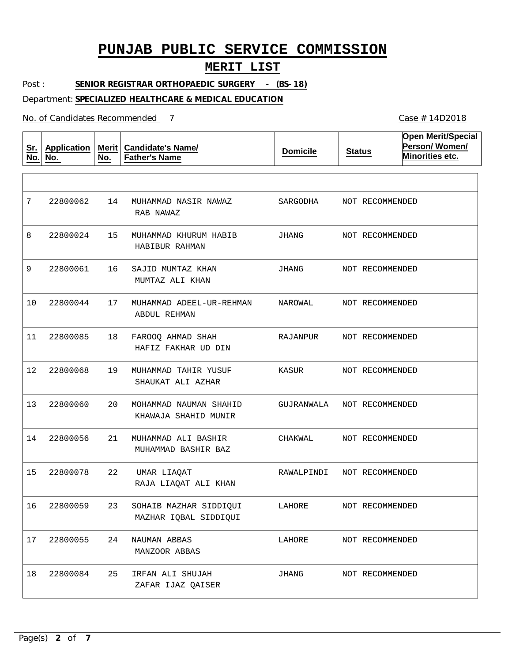### **MERIT LIST**

Post : **SENIOR REGISTRAR ORTHOPAEDIC SURGERY - (BS-18)**

#### Department: **SPECIALIZED HEALTHCARE & MEDICAL EDUCATION**

No. of Candidates Recommended

**Sr. No. Application No. Merit No. Candidate's Name/ Father's Name Domicile Status Open Merit/Special Person/ Women/ Minorities etc.** 14 15 16 17 18 19  $20$ 21 22 23 24 NAUMAN ABBAS 25 MUHAMMAD NASIR NAWAZ MUHAMMAD KHURUM HABIB SAJID MUMTAZ KHAN MUHAMMAD ADEEL-UR-REHMAN FAROOQ AHMAD SHAH MUHAMMAD TAHIR YUSUF MOHAMMAD NAUMAN SHAHID MUHAMMAD ALI BASHIR UMAR LIAQAT SOHAIB MAZHAR SIDDIQUI IRFAN ALI SHUJAH RAB NAWAZ HABIBUR RAHMAN MUMTAZ ALI KHAN ABDUL REHMAN HAFIZ FAKHAR UD DIN SHAUKAT ALI AZHAR KHAWAJA SHAHID MUNIR MUHAMMAD BASHIR BAZ RAJA LIAQAT ALI KHAN MAZHAR IQBAL SIDDIQUI MANZOOR ABBAS ZAFAR IJAZ QAISER 7 8 9 10 11 12 13 14 22800056 15 16 22800059 17 22800055 18 22800062 22800024 22800061 22800044 22800085 22800068 22800060 22800078 22800084 SARGODHA JHANG JHANG NAROWAL RAJANPUR KASUR GUJRANWALA CHAKWAL RAWALPINDI LAHORE LAHORE JHANG NOT RECOMMENDED NOT RECOMMENDED NOT RECOMMENDED NOT RECOMMENDED NOT RECOMMENDED NOT RECOMMENDED NOT RECOMMENDED NOT RECOMMENDED NOT RECOMMENDED NOT RECOMMENDED NOT RECOMMENDED NOT RECOMMENDED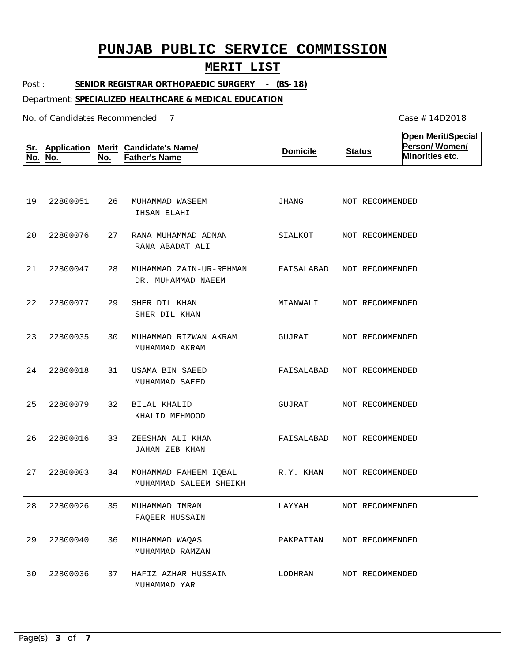### **MERIT LIST**

Post : **SENIOR REGISTRAR ORTHOPAEDIC SURGERY - (BS-18)**

#### Department: **SPECIALIZED HEALTHCARE & MEDICAL EDUCATION**

No. of Candidates Recommended

**Sr. No. Application No. Merit No. Candidate's Name/ Father's Name Domicile Status Open Merit/Special Person/ Women/ Minorities etc.** 26 MUHAMMAD WASEEM 27 RANA MUHAMMAD ADNAN 28 29 30 31 32 BILAL KHALID 33 34 35 36 37 MUHAMMAD ZAIN-UR-REHMAN SHER DIL KHAN MUHAMMAD RIZWAN AKRAM USAMA BIN SAEED ZEESHAN ALI KHAN MOHAMMAD FAHEEM IQBAL MUHAMMAD IMRAN MUHAMMAD WAQAS HAFIZ AZHAR HUSSAIN IHSAN ELAHI RANA ABADAT ALI DR. MUHAMMAD NAEEM SHER DIL KHAN MUHAMMAD AKRAM MUHAMMAD SAEED KHALID MEHMOOD JAHAN ZEB KHAN MUHAMMAD SALEEM SHEIKH FAQEER HUSSAIN MUHAMMAD RAMZAN MUHAMMAD YAR 19 20 22800076 21 22 23 24 25 26 27 28 22800026 29 22800040 30 22800051 22800047 22800077 22800035 22800018 22800079 22800016 22800003 22800036 JHANG SIALKOT FAISALABAD MIANWALI GUJRAT FAISALABAD GUJRAT FAISALABAD NOT RECOMMENDED R.Y. KHAN LAYYAH PAKPATTAN LODHRAN NOT RECOMMENDED NOT RECOMMENDED NOT RECOMMENDED NOT RECOMMENDED NOT RECOMMENDED NOT RECOMMENDED NOT RECOMMENDED NOT RECOMMENDED NOT RECOMMENDED NOT RECOMMENDED NOT RECOMMENDED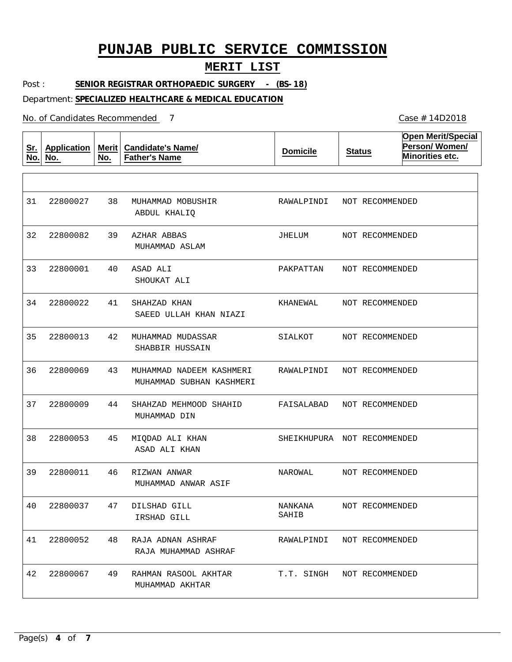### **MERIT LIST**

Post : **SENIOR REGISTRAR ORTHOPAEDIC SURGERY - (BS-18)**

#### Department: **SPECIALIZED HEALTHCARE & MEDICAL EDUCATION**

No. of Candidates Recommended

**Sr. No. Application No. Merit No. Candidate's Name/ Father's Name Domicile Status Open Merit/Special Person/ Women/ Minorities etc.** 38 39 AZHAR ABBAS 40 41 42 MUHAMMAD MUDASSAR 43 44 45 46 47 48 RAJA ADNAN ASHRAF 49 MUHAMMAD MOBUSHIR ASAD ALI SHAHZAD KHAN MUHAMMAD NADEEM KASHMERI SHAHZAD MEHMOOD SHAHID MIQDAD ALI KHAN RIZWAN ANWAR DILSHAD GILL RAHMAN RASOOL AKHTAR ABDUL KHALIQ MUHAMMAD ASLAM SHOUKAT ALI SAEED ULLAH KHAN NIAZI SHABBIR HUSSAIN MUHAMMAD SUBHAN KASHMERI MUHAMMAD DIN ASAD ALI KHAN MUHAMMAD ANWAR ASIF IRSHAD GILL RAJA MUHAMMAD ASHRAF MUHAMMAD AKHTAR 31 32 22800082 33 34 35 36 37 38 39 40 41 42 22800027 22800001 22800022 22800013 22800069 22800009 22800053 22800011 22800037 22800052 22800067 RAWALPINDI JHELUM PAKPATTAN KHANEWAL SIALKOT RAWALPINDI FAISALABAD SHEIKHUPURA NOT RECOMMENDED NAROWAL NANKANA SAHIB RAWALPINDI T.T. SINGH NOT RECOMMENDED NOT RECOMMENDED NOT RECOMMENDED NOT RECOMMENDED NOT RECOMMENDED NOT RECOMMENDED NOT RECOMMENDED NOT RECOMMENDED NOT RECOMMENDED NOT RECOMMENDED NOT RECOMMENDED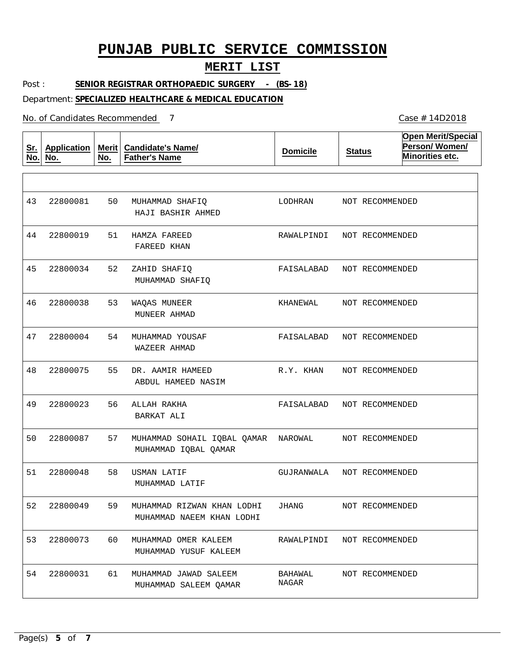### **MERIT LIST**

Post : **SENIOR REGISTRAR ORTHOPAEDIC SURGERY - (BS-18)**

#### Department: **SPECIALIZED HEALTHCARE & MEDICAL EDUCATION**

No. of Candidates Recommended

**Sr. No. Application No. Merit No. Candidate's Name/ Father's Name Domicile Status Open Merit/Special Person/ Women/ Minorities etc.** 50 MUHAMMAD SHAFIQ 51 HAMZA FAREED 52 53 54 55 56 ALLAH RAKHA 57 58 59 60 61 ZAHID SHAFIQ WAQAS MUNEER MUHAMMAD YOUSAF DR. AAMIR HAMEED MUHAMMAD SOHAIL IQBAL QAMAR NAROWAL USMAN LATIF MUHAMMAD RIZWAN KHAN LODHI MUHAMMAD OMER KALEEM MUHAMMAD JAWAD SALEEM HAJI BASHIR AHMED FAREED KHAN MUHAMMAD SHAFIQ MUNEER AHMAD WAZEER AHMAD ABDUL HAMEED NASIM BARKAT ALI MUHAMMAD IQBAL QAMAR MUHAMMAD LATIF MUHAMMAD NAEEM KHAN LODHI MUHAMMAD YUSUF KALEEM MUHAMMAD SALEEM QAMAR 43 44 22800019 45 46 47 48 49 50 51 52 22800049 53 22800073 54 22800081 22800034 22800038 22800004 22800075 22800023 22800087 22800048 22800031 LODHRAN RAWALPINDI FAISALABAD KHANEWAL FAISALABAD NOT RECOMMENDED R.Y. KHAN FAISALABAD GUJRANWALA JHANG RAWALPINDI NOT RECOMMENDED BAHAWAL NAGAR NOT RECOMMENDED NOT RECOMMENDED NOT RECOMMENDED NOT RECOMMENDED NOT RECOMMENDED NOT RECOMMENDED NOT RECOMMENDED NOT RECOMMENDED NOT RECOMMENDED NOT RECOMMENDED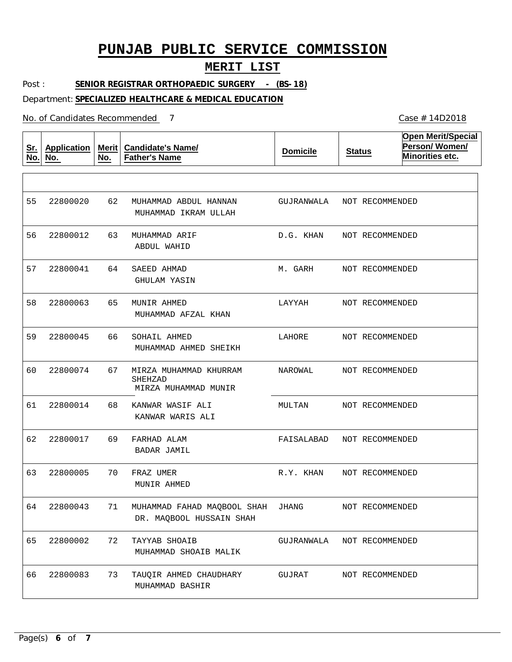### **MERIT LIST**

Post : **SENIOR REGISTRAR ORTHOPAEDIC SURGERY - (BS-18)**

#### Department: **SPECIALIZED HEALTHCARE & MEDICAL EDUCATION**

No. of Candidates Recommended

**Sr. No. Application No. Merit No. Candidate's Name/ Father's Name Domicile Status Open Merit/Special Person/ Women/ Minorities etc.** 62 MUHAMMAD ABDUL HANNAN 63 MUHAMMAD ARIF 64 65 66 67 68 69 FARHAD ALAM 70 FRAZ UMER 71 72 73 TAUQIR AHMED CHAUDHARY SAEED AHMAD MUNIR AHMED SOHAIL AHMED MIRZA MUHAMMAD KHURRAM SHEHZAD KANWAR WASIF ALI MUHAMMAD FAHAD MAQBOOL SHAH JHANG TAYYAB SHOAIB MUHAMMAD IKRAM ULLAH ABDUL WAHID GHULAM YASIN MUHAMMAD AFZAL KHAN MUHAMMAD AHMED SHEIKH MIRZA MUHAMMAD MUNIR KANWAR WARIS ALI BADAR JAMIL MUNIR AHMED DR. MAQBOOL HUSSAIN SHAH MUHAMMAD SHOAIB MALIK MUHAMMAD BASHIR 55 56 22800012 57 58 59 60 61 62 63 64 22800043 65 22800002 66 22800020 22800041 22800063 22800045 22800074 22800014 22800017 22800005 22800083 GUJRANWALA NOT RECOMMENDED D.G. KHAN M. GARH LAYYAH LAHORE NAROWAL MULTAN FAISALABAD R.Y. KHAN GUJRANWALA NOT RECOMMENDED GUJRAT NOT RECOMMENDED NOT RECOMMENDED NOT RECOMMENDED NOT RECOMMENDED NOT RECOMMENDED NOT RECOMMENDED NOT RECOMMENDED NOT RECOMMENDED NOT RECOMMENDED NOT RECOMMENDED